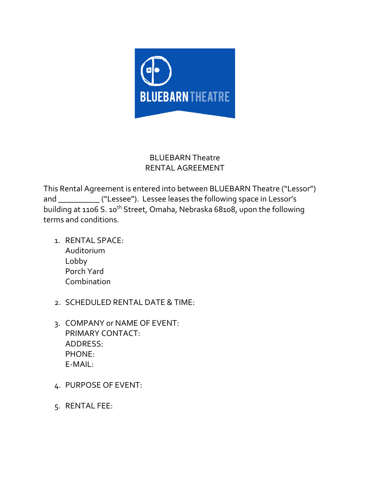

## BLUEBARN Theatre RENTAL AGREEMENT

This Rental Agreement is entered into between BLUEBARN Theatre ("Lessor") and \_\_\_\_\_\_\_\_\_\_ ("Lessee"). Lessee leases the following space in Lessor's building at 1106 S. 10<sup>th</sup> Street, Omaha, Nebraska 68108, upon the following terms and conditions.

- 1. RENTAL SPACE: Auditorium Lobby Porch Yard Combination
- 2. SCHEDULED RENTAL DATE & TIME:
- 3. COMPANY or NAME OF EVENT: PRIMARY CONTACT: ADDRESS: PHONE: E-MAIL:
- 4. PURPOSE OF EVENT:
- 5. RENTAL FEE: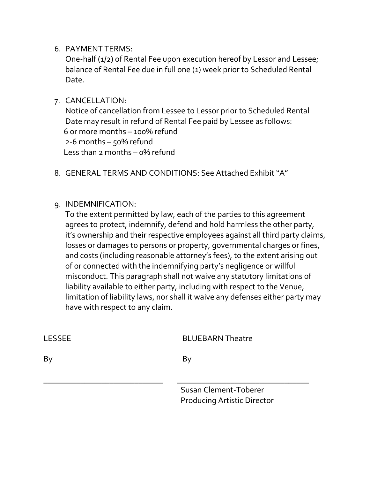6. PAYMENT TERMS:

One-half (1/2) of Rental Fee upon execution hereof by Lessor and Lessee; balance of Rental Fee due in full one (1) week prior to Scheduled Rental Date.

7. CANCELLATION:

Notice of cancellation from Lessee to Lessor prior to Scheduled Rental Date may result in refund of Rental Fee paid by Lessee as follows: 6 or more months – 100% refund 2-6 months – 50% refund Less than 2 months – 0% refund

- 8. GENERAL TERMS AND CONDITIONS: See Attached Exhibit "A"
- 9. INDEMNIFICATION:

To the extent permitted by law, each of the parties to this agreement agrees to protect, indemnify, defend and hold harmless the other party, it's ownership and their respective employees against all third party claims, losses or damages to persons or property, governmental charges or fines, and costs (including reasonable attorney's fees), to the extent arising out of or connected with the indemnifying party's negligence or willful misconduct. This paragraph shall not waive any statutory limitations of liability available to either party, including with respect to the Venue, limitation of liability laws, nor shall it waive any defenses either party may have with respect to any claim.

| LESSEE | <b>BLUEBARN Theatre</b>                                     |
|--------|-------------------------------------------------------------|
| By     | Bv                                                          |
|        | Susan Clement-Toberer<br><b>Producing Artistic Director</b> |